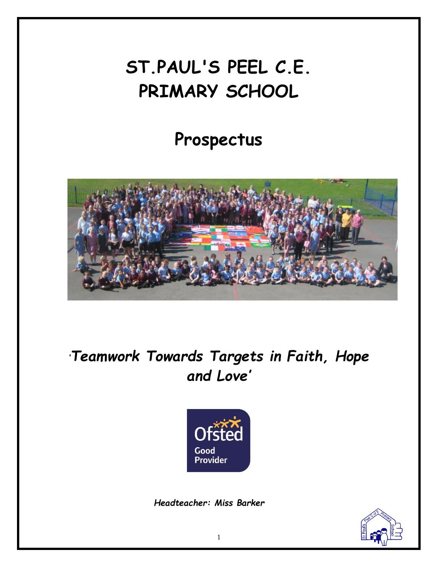# **ST.PAUL'S PEEL C.E. PRIMARY SCHOOL**

## **Prospectus**



*'Teamwork Towards Targets in Faith, Hope and Love'*



*Headteacher: Miss Barker*

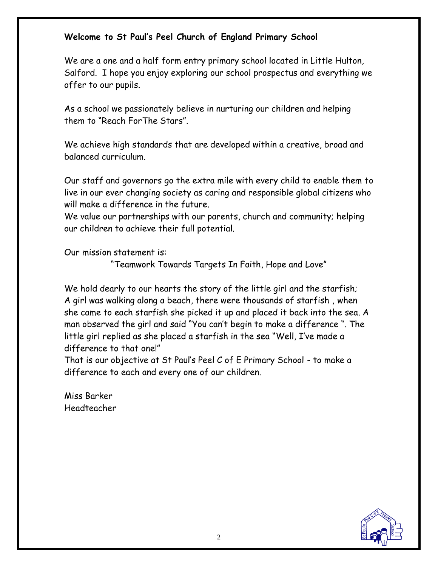## **Welcome to St Paul's Peel Church of England Primary School**

We are a one and a half form entry primary school located in Little Hulton, Salford. I hope you enjoy exploring our school prospectus and everything we offer to our pupils.

As a school we passionately believe in nurturing our children and helping them to "Reach ForThe Stars".

We achieve high standards that are developed within a creative, broad and balanced curriculum.

Our staff and governors go the extra mile with every child to enable them to live in our ever changing society as caring and responsible global citizens who will make a difference in the future.

We value our partnerships with our parents, church and community; helping our children to achieve their full potential.

Our mission statement is:

"Teamwork Towards Targets In Faith, Hope and Love"

We hold dearly to our hearts the story of the little girl and the starfish; A girl was walking along a beach, there were thousands of starfish , when she came to each starfish she picked it up and placed it back into the sea. A man observed the girl and said "You can't begin to make a difference ". The little girl replied as she placed a starfish in the sea "Well, I've made a difference to that one!"

That is our objective at St Paul's Peel C of E Primary School - to make a difference to each and every one of our children.

Miss Barker Headteacher

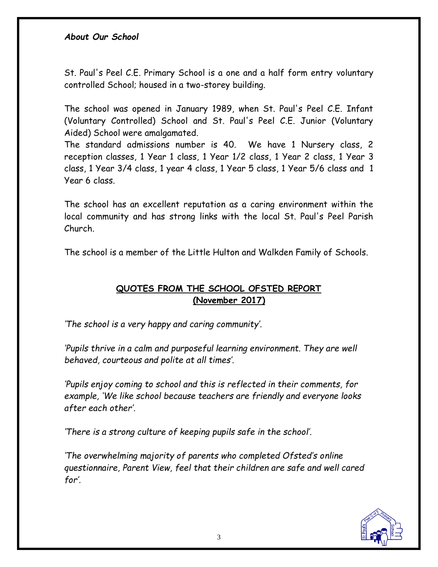#### *About Our School*

St. Paul's Peel C.E. Primary School is a one and a half form entry voluntary controlled School; housed in a two-storey building.

The school was opened in January 1989, when St. Paul's Peel C.E. Infant (Voluntary Controlled) School and St. Paul's Peel C.E. Junior (Voluntary Aided) School were amalgamated.

The standard admissions number is 40. We have 1 Nursery class, 2 reception classes, 1 Year 1 class, 1 Year 1/2 class, 1 Year 2 class, 1 Year 3 class, 1 Year 3/4 class, 1 year 4 class, 1 Year 5 class, 1 Year 5/6 class and 1 Year 6 class.

The school has an excellent reputation as a caring environment within the local community and has strong links with the local St. Paul's Peel Parish Church.

The school is a member of the Little Hulton and Walkden Family of Schools.

## **QUOTES FROM THE SCHOOL OFSTED REPORT (November 2017)**

*'The school is a very happy and caring community'.*

*'Pupils thrive in a calm and purposeful learning environment. They are well behaved, courteous and polite at all times'.*

*'Pupils enjoy coming to school and this is reflected in their comments, for example, 'We like school because teachers are friendly and everyone looks after each other'.*

*'There is a strong culture of keeping pupils safe in the school'.*

*'The overwhelming majority of parents who completed Ofsted's online questionnaire, Parent View, feel that their children are safe and well cared for'.*

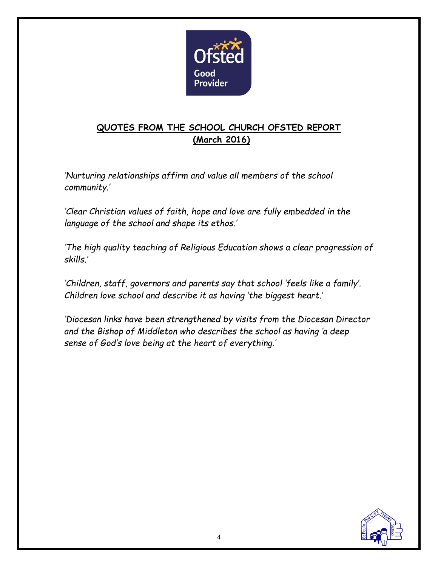

## **QUOTES FROM THE SCHOOL CHURCH OFSTED REPORT (March 2016)**

*'Nurturing relationships affirm and value all members of the school community.'*

*'Clear Christian values of faith, hope and love are fully embedded in the language of the school and shape its ethos.'*

*'The high quality teaching of Religious Education shows a clear progression of skills.'* 

*'Children, staff, governors and parents say that school 'feels like a family'. Children love school and describe it as having 'the biggest heart.'*

*'Diocesan links have been strengthened by visits from the Diocesan Director and the Bishop of Middleton who describes the school as having 'a deep sense of God's love being at the heart of everything.'*

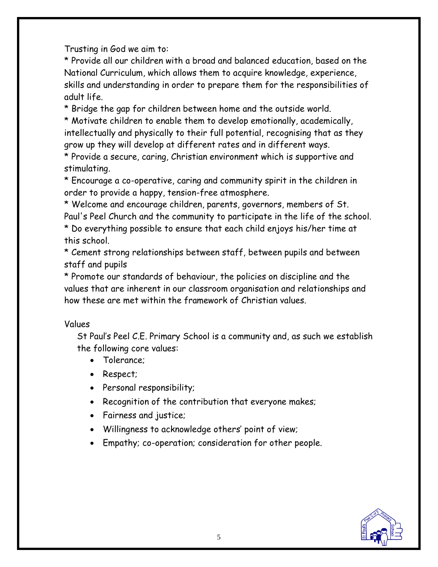Trusting in God we aim to:

\* Provide all our children with a broad and balanced education, based on the National Curriculum, which allows them to acquire knowledge, experience, skills and understanding in order to prepare them for the responsibilities of adult life.

\* Bridge the gap for children between home and the outside world.

\* Motivate children to enable them to develop emotionally, academically, intellectually and physically to their full potential, recognising that as they grow up they will develop at different rates and in different ways.

\* Provide a secure, caring, Christian environment which is supportive and stimulating.

\* Encourage a co-operative, caring and community spirit in the children in order to provide a happy, tension-free atmosphere.

\* Welcome and encourage children, parents, governors, members of St. Paul's Peel Church and the community to participate in the life of the school. \* Do everything possible to ensure that each child enjoys his/her time at this school.

\* Cement strong relationships between staff, between pupils and between staff and pupils

\* Promote our standards of behaviour, the policies on discipline and the values that are inherent in our classroom organisation and relationships and how these are met within the framework of Christian values.

#### Values

St Paul's Peel C.E. Primary School is a community and, as such we establish the following core values:

- Tolerance:
- Respect;
- Personal responsibility;
- Recognition of the contribution that everyone makes;
- Fairness and justice;
- Willingness to acknowledge others' point of view;
- Empathy; co-operation; consideration for other people.

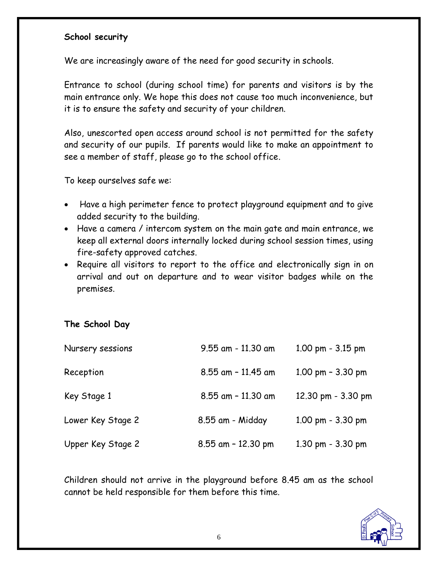#### **School security**

We are increasingly aware of the need for good security in schools.

Entrance to school (during school time) for parents and visitors is by the main entrance only. We hope this does not cause too much inconvenience, but it is to ensure the safety and security of your children.

Also, unescorted open access around school is not permitted for the safety and security of our pupils. If parents would like to make an appointment to see a member of staff, please go to the school office.

To keep ourselves safe we:

- Have a high perimeter fence to protect playground equipment and to give added security to the building.
- Have a camera / intercom system on the main gate and main entrance, we keep all external doors internally locked during school session times, using fire-safety approved catches.
- Require all visitors to report to the office and electronically sign in on arrival and out on departure and to wear visitor badges while on the premises.

#### **The School Day**

| Nursery sessions  | $9.55$ am - 11.30 am  | $1.00 \text{ pm} - 3.15 \text{ pm}$ |
|-------------------|-----------------------|-------------------------------------|
| Reception         | 8.55 am - 11.45 am    | 1.00 pm $-$ 3.30 pm                 |
| Key Stage 1       | 8.55 am - 11.30 am    | 12.30 pm - 3.30 pm                  |
| Lower Key Stage 2 | 8.55 am - Midday      | $1.00$ pm $-3.30$ pm                |
| Upper Key Stage 2 | $8.55$ am $-12.30$ pm | $1.30$ pm $-3.30$ pm                |

Children should not arrive in the playground before 8.45 am as the school cannot be held responsible for them before this time.

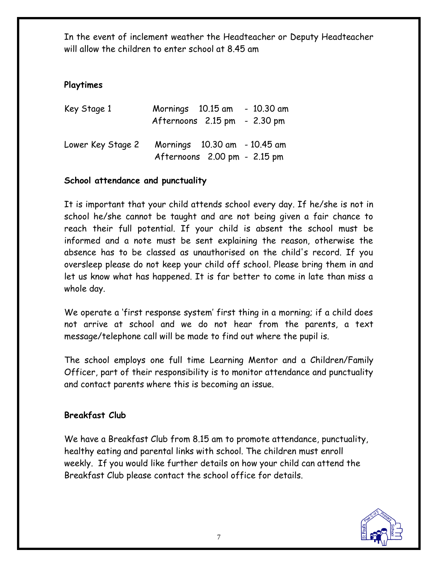In the event of inclement weather the Headteacher or Deputy Headteacher will allow the children to enter school at 8.45 am

## **Playtimes**

| Key Stage 1       | Mornings 10.15 am<br>Afternoons 2.15 pm - 2.30 pm            | $-10.30$ am |
|-------------------|--------------------------------------------------------------|-------------|
| Lower Key Stage 2 | Mornings 10.30 am - 10.45 am<br>Afternoons 2.00 pm - 2.15 pm |             |

## **School attendance and punctuality**

It is important that your child attends school every day. If he/she is not in school he/she cannot be taught and are not being given a fair chance to reach their full potential. If your child is absent the school must be informed and a note must be sent explaining the reason, otherwise the absence has to be classed as unauthorised on the child's record. If you oversleep please do not keep your child off school. Please bring them in and let us know what has happened. It is far better to come in late than miss a whole day.

We operate a 'first response system' first thing in a morning; if a child does not arrive at school and we do not hear from the parents, a text message/telephone call will be made to find out where the pupil is.

The school employs one full time Learning Mentor and a Children/Family Officer, part of their responsibility is to monitor attendance and punctuality and contact parents where this is becoming an issue.

#### **Breakfast Club**

We have a Breakfast Club from 8.15 am to promote attendance, punctuality, healthy eating and parental links with school. The children must enroll weekly. If you would like further details on how your child can attend the Breakfast Club please contact the school office for details.

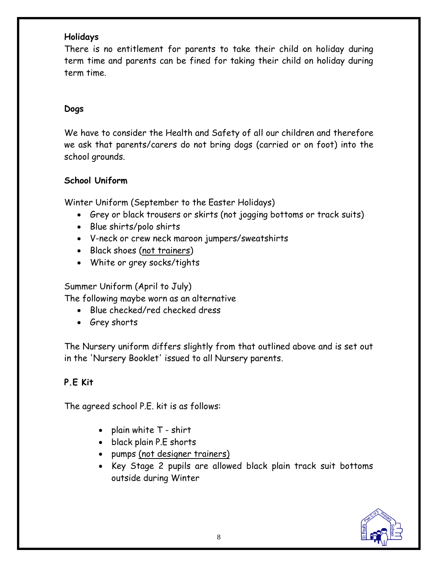#### **Holidays**

There is no entitlement for parents to take their child on holiday during term time and parents can be fined for taking their child on holiday during term time.

#### **Dogs**

We have to consider the Health and Safety of all our children and therefore we ask that parents/carers do not bring dogs (carried or on foot) into the school grounds.

#### **School Uniform**

Winter Uniform (September to the Easter Holidays)

- Grey or black trousers or skirts (not jogging bottoms or track suits)
- Blue shirts/polo shirts
- V-neck or crew neck maroon jumpers/sweatshirts
- Black shoes (not trainers)
- White or grey socks/tights

Summer Uniform (April to July)

The following maybe worn as an alternative

- Blue checked/red checked dress
- Grey shorts

The Nursery uniform differs slightly from that outlined above and is set out in the 'Nursery Booklet' issued to all Nursery parents.

#### **P.E Kit**

The agreed school P.E. kit is as follows:

- plain white  $T$  shirt
- black plain P.E shorts
- pumps (not designer trainers)
- Key Stage 2 pupils are allowed black plain track suit bottoms outside during Winter

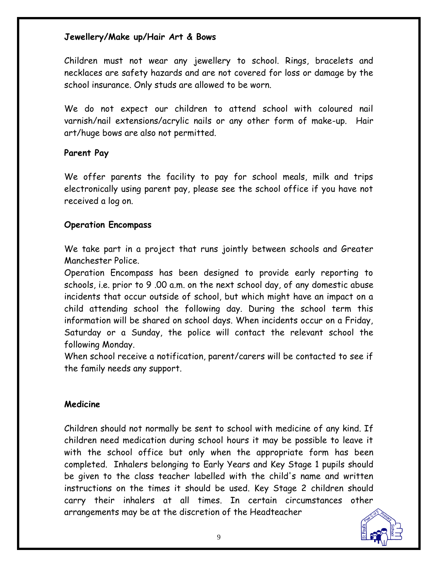#### **Jewellery/Make up/Hair Art & Bows**

Children must not wear any jewellery to school. Rings, bracelets and necklaces are safety hazards and are not covered for loss or damage by the school insurance. Only studs are allowed to be worn.

We do not expect our children to attend school with coloured nail varnish/nail extensions/acrylic nails or any other form of make-up. Hair art/huge bows are also not permitted.

#### **Parent Pay**

We offer parents the facility to pay for school meals, milk and trips electronically using parent pay, please see the school office if you have not received a log on.

#### **Operation Encompass**

We take part in a project that runs jointly between schools and Greater Manchester Police.

Operation Encompass has been designed to provide early reporting to schools, i.e. prior to 9 .00 a.m. on the next school day, of any domestic abuse incidents that occur outside of school, but which might have an impact on a child attending school the following day. During the school term this information will be shared on school days. When incidents occur on a Friday, Saturday or a Sunday, the police will contact the relevant school the following Monday.

When school receive a notification, parent/carers will be contacted to see if the family needs any support.

#### **Medicine**

Children should not normally be sent to school with medicine of any kind. If children need medication during school hours it may be possible to leave it with the school office but only when the appropriate form has been completed. Inhalers belonging to Early Years and Key Stage 1 pupils should be given to the class teacher labelled with the child's name and written instructions on the times it should be used. Key Stage 2 children should carry their inhalers at all times. In certain circumstances other arrangements may be at the discretion of the Headteacher

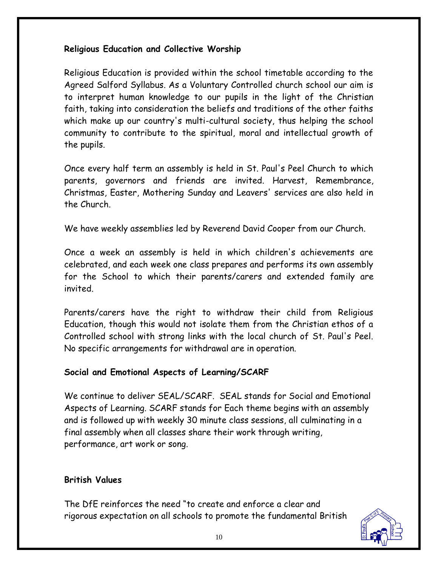## **Religious Education and Collective Worship**

Religious Education is provided within the school timetable according to the Agreed Salford Syllabus. As a Voluntary Controlled church school our aim is to interpret human knowledge to our pupils in the light of the Christian faith, taking into consideration the beliefs and traditions of the other faiths which make up our country's multi-cultural society, thus helping the school community to contribute to the spiritual, moral and intellectual growth of the pupils.

Once every half term an assembly is held in St. Paul's Peel Church to which parents, governors and friends are invited. Harvest, Remembrance, Christmas, Easter, Mothering Sunday and Leavers' services are also held in the Church.

We have weekly assemblies led by Reverend David Cooper from our Church.

Once a week an assembly is held in which children's achievements are celebrated, and each week one class prepares and performs its own assembly for the School to which their parents/carers and extended family are invited.

Parents/carers have the right to withdraw their child from Religious Education, though this would not isolate them from the Christian ethos of a Controlled school with strong links with the local church of St. Paul's Peel. No specific arrangements for withdrawal are in operation.

## **Social and Emotional Aspects of Learning/SCARF**

We continue to deliver SEAL/SCARF. SEAL stands for Social and Emotional Aspects of Learning. SCARF stands for Each theme begins with an assembly and is followed up with weekly 30 minute class sessions, all culminating in a final assembly when all classes share their work through writing, performance, art work or song.

## **British Values**

The DfE reinforces the need "to create and enforce a clear and rigorous expectation on all schools to promote the fundamental British

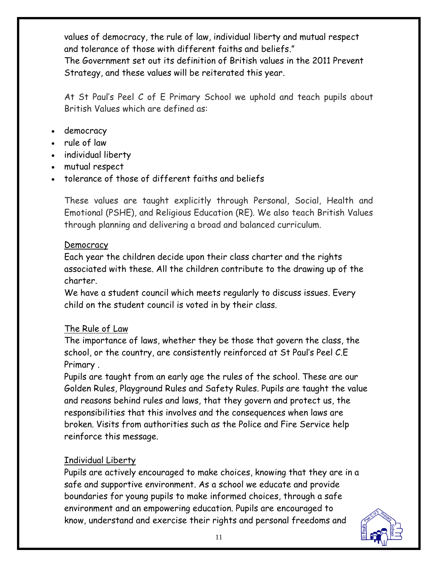values of democracy, the rule of law, individual liberty and mutual respect and tolerance of those with different faiths and beliefs." The Government set out its definition of British values in the 2011 Prevent Strategy, and these values will be reiterated this year.

At St Paul's Peel C of E Primary School we uphold and teach pupils about British Values which are defined as:

- democracy
- rule of law
- individual liberty
- mutual respect
- tolerance of those of different faiths and beliefs

These values are taught explicitly through Personal, Social, Health and Emotional (PSHE), and Religious Education (RE). We also teach British Values through planning and delivering a broad and balanced curriculum.

#### Democracy

Each year the children decide upon their class charter and the rights associated with these. All the children contribute to the drawing up of the charter.

We have a student council which meets regularly to discuss issues. Every child on the student council is voted in by their class.

## The Rule of Law

The importance of laws, whether they be those that govern the class, the school, or the country, are consistently reinforced at St Paul's Peel C.E Primary .

Pupils are taught from an early age the rules of the school. These are our Golden Rules, Playground Rules and Safety Rules. Pupils are taught the value and reasons behind rules and laws, that they govern and protect us, the responsibilities that this involves and the consequences when laws are broken. Visits from authorities such as the Police and Fire Service help reinforce this message.

## Individual Liberty

Pupils are actively encouraged to make choices, knowing that they are in a safe and supportive environment. As a school we educate and provide boundaries for young pupils to make informed choices, through a safe environment and an empowering education. Pupils are encouraged to know, understand and exercise their rights and personal freedoms and

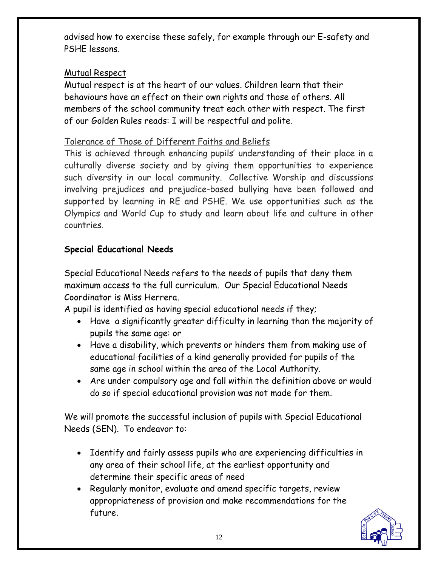advised how to exercise these safely, for example through our E-safety and PSHE lessons.

## Mutual Respect

Mutual respect is at the heart of our values. Children learn that their behaviours have an effect on their own rights and those of others. All members of the school community treat each other with respect. The first of our Golden Rules reads: I will be respectful and polite.

## Tolerance of Those of Different Faiths and Beliefs

This is achieved through enhancing pupils' understanding of their place in a culturally diverse society and by giving them opportunities to experience such diversity in our local community. Collective Worship and discussions involving prejudices and prejudice-based bullying have been followed and supported by learning in RE and PSHE. We use opportunities such as the Olympics and World Cup to study and learn about life and culture in other countries.

## **Special Educational Needs**

Special Educational Needs refers to the needs of pupils that deny them maximum access to the full curriculum. Our Special Educational Needs Coordinator is Miss Herrera.

A pupil is identified as having special educational needs if they;

- Have a significantly greater difficulty in learning than the majority of pupils the same age: or
- Have a disability, which prevents or hinders them from making use of educational facilities of a kind generally provided for pupils of the same age in school within the area of the Local Authority.
- Are under compulsory age and fall within the definition above or would do so if special educational provision was not made for them.

We will promote the successful inclusion of pupils with Special Educational Needs (SEN). To endeavor to:

- Identify and fairly assess pupils who are experiencing difficulties in any area of their school life, at the earliest opportunity and determine their specific areas of need
- Regularly monitor, evaluate and amend specific targets, review appropriateness of provision and make recommendations for the future.

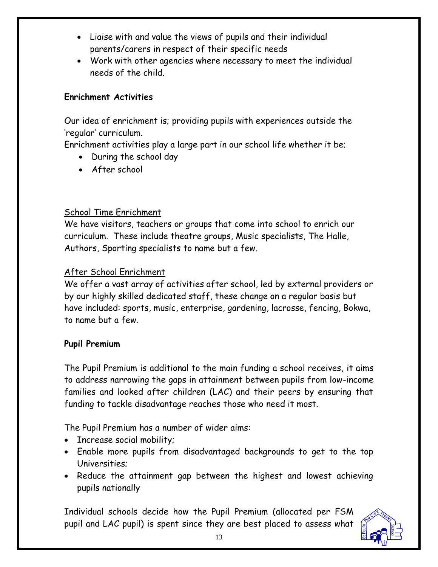- Liaise with and value the views of pupils and their individual parents/carers in respect of their specific needs
- Work with other agencies where necessary to meet the individual needs of the child.

#### **Enrichment Activities**

Our idea of enrichment is; providing pupils with experiences outside the 'regular' curriculum.

Enrichment activities play a large part in our school life whether it be;

- During the school day
- After school

## School Time Enrichment

We have visitors, teachers or groups that come into school to enrich our curriculum. These include theatre groups, Music specialists, The Halle, Authors, Sporting specialists to name but a few.

#### After School Enrichment

We offer a vast array of activities after school, led by external providers or by our highly skilled dedicated staff, these change on a regular basis but have included: sports, music, enterprise, gardening, lacrosse, fencing, Bokwa, to name but a few.

#### **Pupil Premium**

The Pupil Premium is additional to the main funding a school receives, it aims to address narrowing the gaps in attainment between pupils from low-income families and looked after children (LAC) and their peers by ensuring that funding to tackle disadvantage reaches those who need it most.

The Pupil Premium has a number of wider aims:

- Increase social mobility;
- Enable more pupils from disadvantaged backgrounds to get to the top Universities;
- Reduce the attainment gap between the highest and lowest achieving pupils nationally

Individual schools decide how the Pupil Premium (allocated per FSM pupil and LAC pupil) is spent since they are best placed to assess what

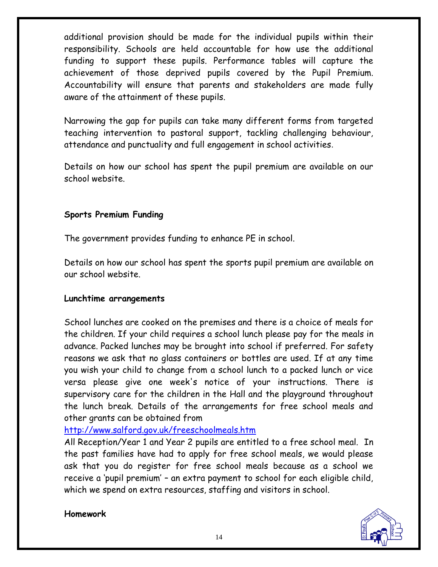additional provision should be made for the individual pupils within their responsibility. Schools are held accountable for how use the additional funding to support these pupils. Performance tables will capture the achievement of those deprived pupils covered by the Pupil Premium. Accountability will ensure that parents and stakeholders are made fully aware of the attainment of these pupils.

Narrowing the gap for pupils can take many different forms from targeted teaching intervention to pastoral support, tackling challenging behaviour, attendance and punctuality and full engagement in school activities.

Details on how our school has spent the pupil premium are available on our school website.

#### **Sports Premium Funding**

The government provides funding to enhance PE in school.

Details on how our school has spent the sports pupil premium are available on our school website.

#### **Lunchtime arrangements**

School lunches are cooked on the premises and there is a choice of meals for the children. If your child requires a school lunch please pay for the meals in advance. Packed lunches may be brought into school if preferred. For safety reasons we ask that no glass containers or bottles are used. If at any time you wish your child to change from a school lunch to a packed lunch or vice versa please give one week's notice of your instructions. There is supervisory care for the children in the Hall and the playground throughout the lunch break. Details of the arrangements for free school meals and other grants can be obtained from

<http://www.salford.gov.uk/freeschoolmeals.htm>

All Reception/Year 1 and Year 2 pupils are entitled to a free school meal. In the past families have had to apply for free school meals, we would please ask that you do register for free school meals because as a school we receive a 'pupil premium' – an extra payment to school for each eligible child, which we spend on extra resources, staffing and visitors in school.

#### **Homework**

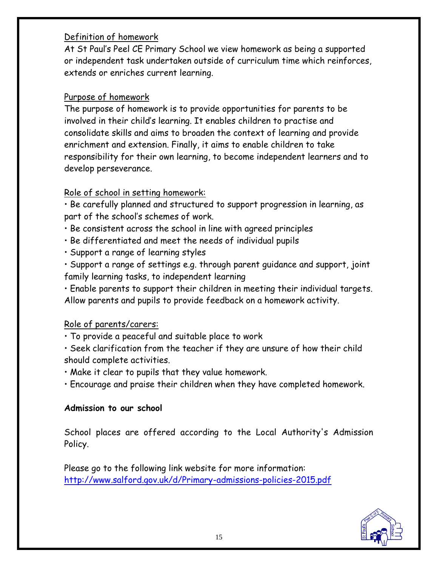## Definition of homework

At St Paul's Peel CE Primary School we view homework as being a supported or independent task undertaken outside of curriculum time which reinforces, extends or enriches current learning.

## Purpose of homework

The purpose of homework is to provide opportunities for parents to be involved in their child's learning. It enables children to practise and consolidate skills and aims to broaden the context of learning and provide enrichment and extension. Finally, it aims to enable children to take responsibility for their own learning, to become independent learners and to develop perseverance.

## Role of school in setting homework:

• Be carefully planned and structured to support progression in learning, as part of the school's schemes of work.

- Be consistent across the school in line with agreed principles
- Be differentiated and meet the needs of individual pupils
- Support a range of learning styles
- Support a range of settings e.g. through parent guidance and support, joint family learning tasks, to independent learning

• Enable parents to support their children in meeting their individual targets. Allow parents and pupils to provide feedback on a homework activity.

## Role of parents/carers:

• To provide a peaceful and suitable place to work

• Seek clarification from the teacher if they are unsure of how their child should complete activities.

• Make it clear to pupils that they value homework.

• Encourage and praise their children when they have completed homework.

#### **Admission to our school**

School places are offered according to the Local Authority's Admission Policy.

Please go to the following link website for more information: <http://www.salford.gov.uk/d/Primary-admissions-policies-2015.pdf>

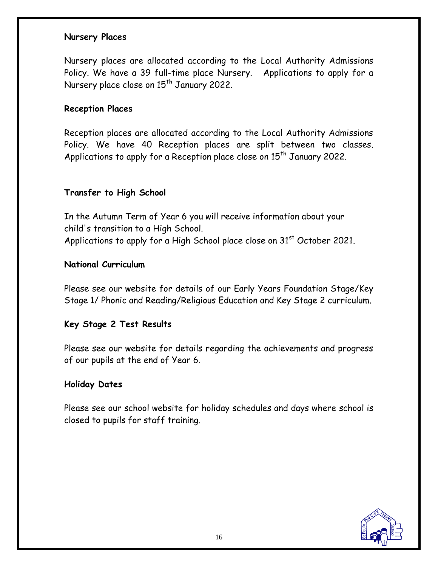#### **Nursery Places**

Nursery places are allocated according to the Local Authority Admissions Policy. We have a 39 full-time place Nursery. Applications to apply for a Nursery place close on 15<sup>th</sup> January 2022.

#### **Reception Places**

Reception places are allocated according to the Local Authority Admissions Policy. We have 40 Reception places are split between two classes. Applications to apply for a Reception place close on 15<sup>th</sup> January 2022.

#### **Transfer to High School**

In the Autumn Term of Year 6 you will receive information about your child's transition to a High School. Applications to apply for a High School place close on 31<sup>st</sup> October 2021.

#### **National Curriculum**

Please see our website for details of our Early Years Foundation Stage/Key Stage 1/ Phonic and Reading/Religious Education and Key Stage 2 curriculum.

#### **Key Stage 2 Test Results**

Please see our website for details regarding the achievements and progress of our pupils at the end of Year 6.

#### **Holiday Dates**

Please see our school website for holiday schedules and days where school is closed to pupils for staff training.